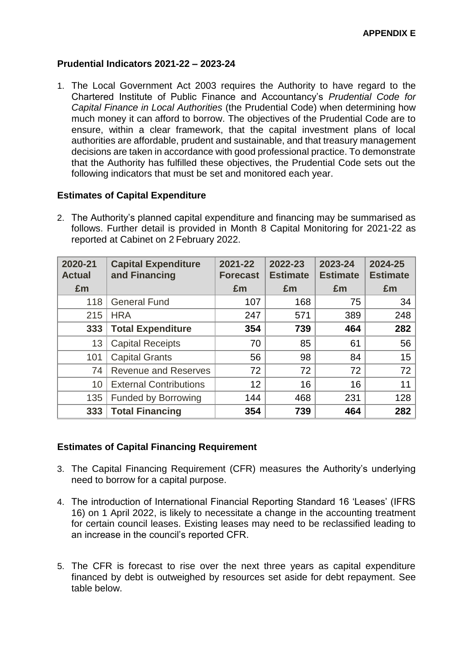### **Prudential Indicators 2021-22 – 2023-24**

1. The Local Government Act 2003 requires the Authority to have regard to the Chartered Institute of Public Finance and Accountancy's *Prudential Code for Capital Finance in Local Authorities* (the Prudential Code) when determining how much money it can afford to borrow. The objectives of the Prudential Code are to ensure, within a clear framework, that the capital investment plans of local authorities are affordable, prudent and sustainable, and that treasury management decisions are taken in accordance with good professional practice. To demonstrate that the Authority has fulfilled these objectives, the Prudential Code sets out the following indicators that must be set and monitored each year.

### **Estimates of Capital Expenditure**

2. The Authority's planned capital expenditure and financing may be summarised as follows. Further detail is provided in Month 8 Capital Monitoring for 2021-22 as reported at Cabinet on 2 February 2022.

| 2020-21<br><b>Actual</b> | <b>Capital Expenditure</b><br>and Financing | 2021-22<br><b>Forecast</b> | 2022-23<br><b>Estimate</b> | 2023-24<br><b>Estimate</b> | 2024-25<br><b>Estimate</b> |
|--------------------------|---------------------------------------------|----------------------------|----------------------------|----------------------------|----------------------------|
| £m                       |                                             | £m                         | £m                         | £m                         | £m                         |
| 118                      | <b>General Fund</b>                         | 107                        | 168                        | 75                         | 34                         |
| 215                      | <b>HRA</b>                                  | 247                        | 571                        | 389                        | 248                        |
| 333                      | <b>Total Expenditure</b>                    | 354                        | 739                        | 464                        | 282                        |
| 13                       | <b>Capital Receipts</b>                     | 70                         | 85                         | 61                         | 56                         |
| 101                      | <b>Capital Grants</b>                       | 56                         | 98                         | 84                         | 15                         |
| 74                       | <b>Revenue and Reserves</b>                 | 72                         | 72                         | 72                         | 72                         |
| 10                       | <b>External Contributions</b>               | 12                         | 16                         | 16                         | 11                         |
| 135                      | <b>Funded by Borrowing</b>                  | 144                        | 468                        | 231                        | 128                        |
| 333                      | <b>Total Financing</b>                      | 354                        | 739                        | 464                        | 282                        |

### **Estimates of Capital Financing Requirement**

- 3. The Capital Financing Requirement (CFR) measures the Authority's underlying need to borrow for a capital purpose.
- 4. The introduction of International Financial Reporting Standard 16 'Leases' (IFRS 16) on 1 April 2022, is likely to necessitate a change in the accounting treatment for certain council leases. Existing leases may need to be reclassified leading to an increase in the council's reported CFR.
- 5. The CFR is forecast to rise over the next three years as capital expenditure financed by debt is outweighed by resources set aside for debt repayment. See table below.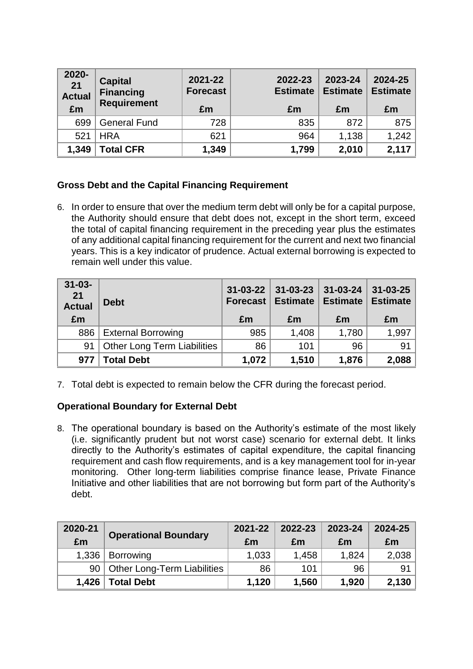| $2020 -$<br>21<br><b>Actual</b><br>£m | <b>Capital</b><br><b>Financing</b><br><b>Requirement</b> | 2021-22<br><b>Forecast</b><br>£m | 2022-23<br><b>Estimate</b><br>£m | 2023-24<br><b>Estimate</b><br>£m | 2024-25<br><b>Estimate</b><br>£m |
|---------------------------------------|----------------------------------------------------------|----------------------------------|----------------------------------|----------------------------------|----------------------------------|
| 699                                   | <b>General Fund</b>                                      | 728                              | 835                              | 872                              | 875                              |
| 521                                   | <b>HRA</b>                                               | 621                              | 964                              | 1,138                            | 1,242                            |
| 1,349                                 | <b>Total CFR</b>                                         | 1,349                            | 1,799                            | 2,010                            | 2,117                            |

# **Gross Debt and the Capital Financing Requirement**

6. In order to ensure that over the medium term debt will only be for a capital purpose, the Authority should ensure that debt does not, except in the short term, exceed the total of capital financing requirement in the preceding year plus the estimates of any additional capital financing requirement for the current and next two financial years. This is a key indicator of prudence. Actual external borrowing is expected to remain well under this value.

| $31 - 03 -$<br>21<br><b>Actual</b><br>£m | <b>Debt</b>                        | $31 - 03 - 22$<br><b>Forecast</b><br>£m | $31 - 03 - 23$<br><b>Estimate</b><br>£m | $31 - 03 - 24$<br><b>Estimate</b><br>£m | $31 - 03 - 25$<br><b>Estimate</b><br>£m |
|------------------------------------------|------------------------------------|-----------------------------------------|-----------------------------------------|-----------------------------------------|-----------------------------------------|
| 886                                      | <b>External Borrowing</b>          | 985                                     | 1,408                                   | 1,780                                   | 1,997                                   |
| 91                                       | <b>Other Long Term Liabilities</b> | 86                                      | 101                                     | 96                                      | 91                                      |
| 977                                      | <b>Total Debt</b>                  | 1,072                                   | 1,510                                   | 1,876                                   | 2,088                                   |

7. Total debt is expected to remain below the CFR during the forecast period.

### **Operational Boundary for External Debt**

8. The operational boundary is based on the Authority's estimate of the most likely (i.e. significantly prudent but not worst case) scenario for external debt. It links directly to the Authority's estimates of capital expenditure, the capital financing requirement and cash flow requirements, and is a key management tool for in-year monitoring. Other long-term liabilities comprise finance lease, Private Finance Initiative and other liabilities that are not borrowing but form part of the Authority's debt.

| 2020-21 |                                  | 2021-22 | 2022-23 | 2023-24 | 2024-25 |
|---------|----------------------------------|---------|---------|---------|---------|
| £m      | <b>Operational Boundary</b>      | £m      | £m      | £m      | £m      |
| 1,336   | <b>Borrowing</b>                 | 1,033   | 1,458   | 1,824   | 2,038   |
|         | 90   Other Long-Term Liabilities | 86      | 101     | 96      | 91      |
| 1.426   | <b>Total Debt</b>                | 1,120   | 1,560   | 1,920   | 2,130   |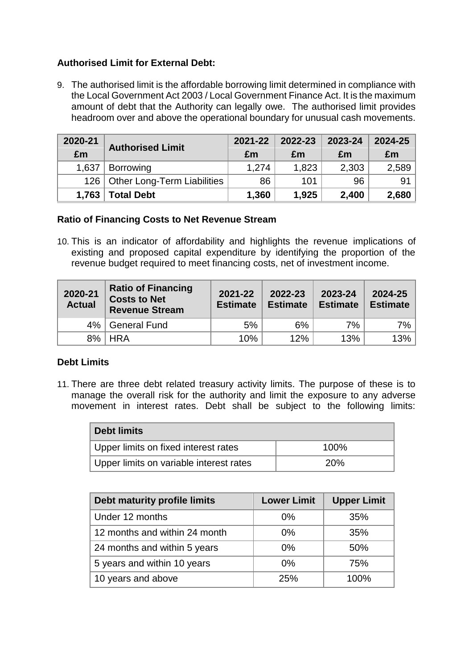# **Authorised Limit for External Debt:**

9. The authorised limit is the affordable borrowing limit determined in compliance with the Local Government Act 2003 / Local Government Finance Act. It is the maximum amount of debt that the Authority can legally owe. The authorised limit provides headroom over and above the operational boundary for unusual cash movements.

| 2020-21 | <b>Authorised Limit</b>           | 2021-22 | 2022-23 | 2023-24 | 2024-25 |
|---------|-----------------------------------|---------|---------|---------|---------|
| £m      |                                   | £m      | £m      | £m      | £m      |
| 1,637   | <b>Borrowing</b>                  | 1,274   | 1,823   | 2,303   | 2,589   |
|         | 126   Other Long-Term Liabilities | 86      | 101     | 96      | 91      |
| 1,763   | <b>Total Debt</b>                 | 1,360   | 1,925   | 2,400   | 2,680   |

### **Ratio of Financing Costs to Net Revenue Stream**

10. This is an indicator of affordability and highlights the revenue implications of existing and proposed capital expenditure by identifying the proportion of the revenue budget required to meet financing costs, net of investment income.

| 2020-21<br><b>Actual</b> | <b>Ratio of Financing</b><br><b>Costs to Net</b><br><b>Revenue Stream</b> | 2021-22<br><b>Estimate</b> | 2022-23<br><b>Estimate</b> | 2023-24<br><b>Estimate</b> | 2024-25<br><b>Estimate</b> |
|--------------------------|---------------------------------------------------------------------------|----------------------------|----------------------------|----------------------------|----------------------------|
| $4\%$                    | <b>General Fund</b>                                                       | 5%                         | 6%                         | 7%                         | $7\%$                      |
|                          | 8%   HRA                                                                  | 10%                        | 12%                        | 13%                        | 13%                        |

### **Debt Limits**

11. There are three debt related treasury activity limits. The purpose of these is to manage the overall risk for the authority and limit the exposure to any adverse movement in interest rates. Debt shall be subject to the following limits:

| <b>Debt limits</b>                      |      |  |  |  |
|-----------------------------------------|------|--|--|--|
| Upper limits on fixed interest rates    | 100% |  |  |  |
| Upper limits on variable interest rates | 20%  |  |  |  |

| Debt maturity profile limits  | <b>Lower Limit</b> | <b>Upper Limit</b> |  |
|-------------------------------|--------------------|--------------------|--|
| Under 12 months               | $0\%$              | 35%                |  |
| 12 months and within 24 month | $0\%$              | 35%                |  |
| 24 months and within 5 years  | $0\%$              | 50%                |  |
| 5 years and within 10 years   | $0\%$              | 75%                |  |
| 10 years and above            | 25%                | 100%               |  |